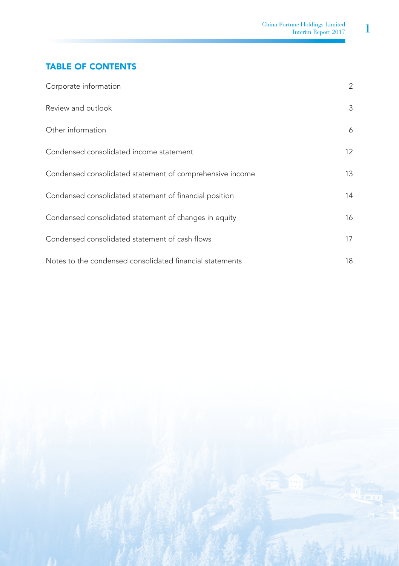# TABLE OF CONTENTS

| Corporate information                                    | 2  |
|----------------------------------------------------------|----|
| Review and outlook                                       | 3  |
| Other information                                        | 6  |
| Condensed consolidated income statement                  | 12 |
| Condensed consolidated statement of comprehensive income | 13 |
| Condensed consolidated statement of financial position   | 14 |
| Condensed consolidated statement of changes in equity    | 16 |
| Condensed consolidated statement of cash flows           | 17 |
| Notes to the condensed consolidated financial statements | 18 |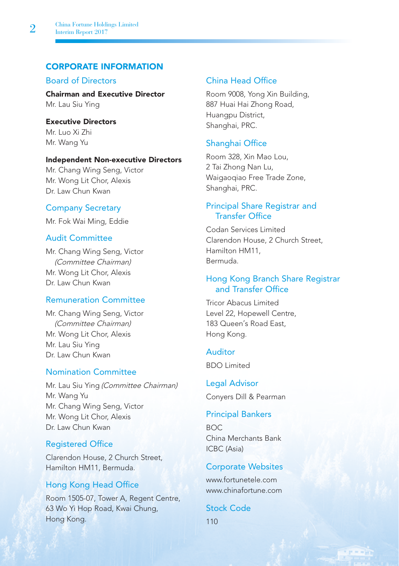# CORPORATE INFORMATION

# Board of Directors

Chairman and Executive Director Mr. Lau Siu Ying

Executive Directors Mr. Luo Xi Zhi Mr. Wang Yu

## Independent Non-executive Directors

Mr. Chang Wing Seng, Victor Mr. Wong Lit Chor, Alexis Dr. Law Chun Kwan

## Company Secretary

Mr. Fok Wai Ming, Eddie

# Audit Committee

Mr. Chang Wing Seng, Victor (Committee Chairman) Mr. Wong Lit Chor, Alexis Dr. Law Chun Kwan

## Remuneration Committee

Mr. Chang Wing Seng, Victor (Committee Chairman) Mr. Wong Lit Chor, Alexis Mr. Lau Siu Ying Dr. Law Chun Kwan

## Nomination Committee

Mr. Lau Siu Ying (Committee Chairman) Mr. Wang Yu Mr. Chang Wing Seng, Victor Mr. Wong Lit Chor, Alexis Dr. Law Chun Kwan

## Registered Office

Clarendon House, 2 Church Street, Hamilton HM11, Bermuda.

## Hong Kong Head Office

Room 1505-07, Tower A, Regent Centre, 63 Wo Yi Hop Road, Kwai Chung, Hong Kong.

# China Head Office

Room 9008, Yong Xin Building, 887 Huai Hai Zhong Road, Huangpu District, Shanghai, PRC.

## Shanghai Office

Room 328, Xin Mao Lou, 2 Tai Zhong Nan Lu, Waigaoqiao Free Trade Zone, Shanghai, PRC.

## Principal Share Registrar and Transfer Office

Codan Services Limited Clarendon House, 2 Church Street, Hamilton HM11, Bermuda.

# Hong Kong Branch Share Registrar and Transfer Office

Tricor Abacus Limited Level 22, Hopewell Centre, 183 Queen's Road East, Hong Kong.

# Auditor

BDO Limited

Legal Advisor Conyers Dill & Pearman

## Principal Bankers

BOC China Merchants Bank ICBC (Asia)

## Corporate Websites

www.fortunetele.com www.chinafortune.com

e – «Vo

Stock Code 110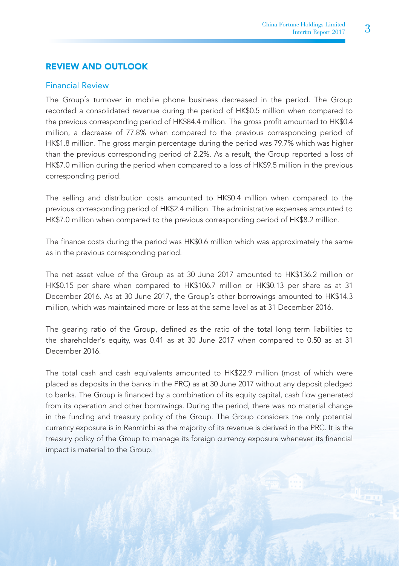# REVIEW AND OUTLOOK

#### Financial Review

The Group's turnover in mobile phone business decreased in the period. The Group recorded a consolidated revenue during the period of HK\$0.5 million when compared to the previous corresponding period of HK\$84.4 million. The gross profit amounted to HK\$0.4 million, a decrease of 77.8% when compared to the previous corresponding period of HK\$1.8 million. The gross margin percentage during the period was 79.7% which was higher than the previous corresponding period of 2.2%. As a result, the Group reported a loss of HK\$7.0 million during the period when compared to a loss of HK\$9.5 million in the previous corresponding period.

The selling and distribution costs amounted to HK\$0.4 million when compared to the previous corresponding period of HK\$2.4 million. The administrative expenses amounted to HK\$7.0 million when compared to the previous corresponding period of HK\$8.2 million.

The finance costs during the period was HK\$0.6 million which was approximately the same as in the previous corresponding period.

The net asset value of the Group as at 30 June 2017 amounted to HK\$136.2 million or HK\$0.15 per share when compared to HK\$106.7 million or HK\$0.13 per share as at 31 December 2016. As at 30 June 2017, the Group's other borrowings amounted to HK\$14.3 million, which was maintained more or less at the same level as at 31 December 2016.

The gearing ratio of the Group, defined as the ratio of the total long term liabilities to the shareholder's equity, was 0.41 as at 30 June 2017 when compared to 0.50 as at 31 December 2016.

The total cash and cash equivalents amounted to HK\$22.9 million (most of which were placed as deposits in the banks in the PRC) as at 30 June 2017 without any deposit pledged to banks. The Group is financed by a combination of its equity capital, cash flow generated from its operation and other borrowings. During the period, there was no material change in the funding and treasury policy of the Group. The Group considers the only potential currency exposure is in Renminbi as the majority of its revenue is derived in the PRC. It is the treasury policy of the Group to manage its foreign currency exposure whenever its financial impact is material to the Group.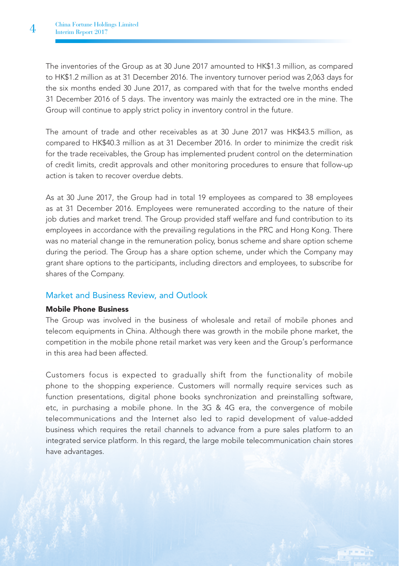The inventories of the Group as at 30 June 2017 amounted to HK\$1.3 million, as compared to HK\$1.2 million as at 31 December 2016. The inventory turnover period was 2,063 days for the six months ended 30 June 2017, as compared with that for the twelve months ended 31 December 2016 of 5 days. The inventory was mainly the extracted ore in the mine. The Group will continue to apply strict policy in inventory control in the future.

The amount of trade and other receivables as at 30 June 2017 was HK\$43.5 million, as compared to HK\$40.3 million as at 31 December 2016. In order to minimize the credit risk for the trade receivables, the Group has implemented prudent control on the determination of credit limits, credit approvals and other monitoring procedures to ensure that follow-up action is taken to recover overdue debts.

As at 30 June 2017, the Group had in total 19 employees as compared to 38 employees as at 31 December 2016. Employees were remunerated according to the nature of their job duties and market trend. The Group provided staff welfare and fund contribution to its employees in accordance with the prevailing regulations in the PRC and Hong Kong. There was no material change in the remuneration policy, bonus scheme and share option scheme during the period. The Group has a share option scheme, under which the Company may grant share options to the participants, including directors and employees, to subscribe for shares of the Company.

## Market and Business Review, and Outlook

## Mobile Phone Business

The Group was involved in the business of wholesale and retail of mobile phones and telecom equipments in China. Although there was growth in the mobile phone market, the competition in the mobile phone retail market was very keen and the Group's performance in this area had been affected.

Customers focus is expected to gradually shift from the functionality of mobile phone to the shopping experience. Customers will normally require services such as function presentations, digital phone books synchronization and preinstalling software, etc, in purchasing a mobile phone. In the 3G & 4G era, the convergence of mobile telecommunications and the Internet also led to rapid development of value-added business which requires the retail channels to advance from a pure sales platform to an integrated service platform. In this regard, the large mobile telecommunication chain stores have advantages.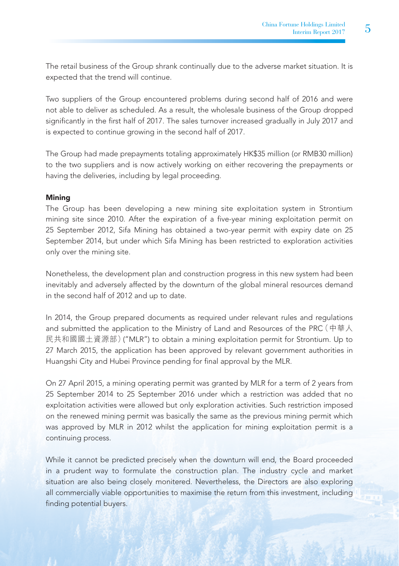The retail business of the Group shrank continually due to the adverse market situation. It is expected that the trend will continue.

Two suppliers of the Group encountered problems during second half of 2016 and were not able to deliver as scheduled. As a result, the wholesale business of the Group dropped significantly in the first half of 2017. The sales turnover increased gradually in July 2017 and is expected to continue growing in the second half of 2017.

The Group had made prepayments totaling approximately HK\$35 million (or RMB30 million) to the two suppliers and is now actively working on either recovering the prepayments or having the deliveries, including by legal proceeding.

## **Mining**

The Group has been developing a new mining site exploitation system in Strontium mining site since 2010. After the expiration of a five-year mining exploitation permit on 25 September 2012, Sifa Mining has obtained a two-year permit with expiry date on 25 September 2014, but under which Sifa Mining has been restricted to exploration activities only over the mining site.

Nonetheless, the development plan and construction progress in this new system had been inevitably and adversely affected by the downturn of the global mineral resources demand in the second half of 2012 and up to date.

In 2014, the Group prepared documents as required under relevant rules and regulations and submitted the application to the Ministry of Land and Resources of the PRC(中華人 民共和國國土資源部)("MLR") to obtain a mining exploitation permit for Strontium. Up to 27 March 2015, the application has been approved by relevant government authorities in Huangshi City and Hubei Province pending for final approval by the MLR.

On 27 April 2015, a mining operating permit was granted by MLR for a term of 2 years from 25 September 2014 to 25 September 2016 under which a restriction was added that no exploitation activities were allowed but only exploration activities. Such restriction imposed on the renewed mining permit was basically the same as the previous mining permit which was approved by MLR in 2012 whilst the application for mining exploitation permit is a continuing process.

While it cannot be predicted precisely when the downturn will end, the Board proceeded in a prudent way to formulate the construction plan. The industry cycle and market situation are also being closely monitered. Nevertheless, the Directors are also exploring all commercially viable opportunities to maximise the return from this investment, including finding potential buyers.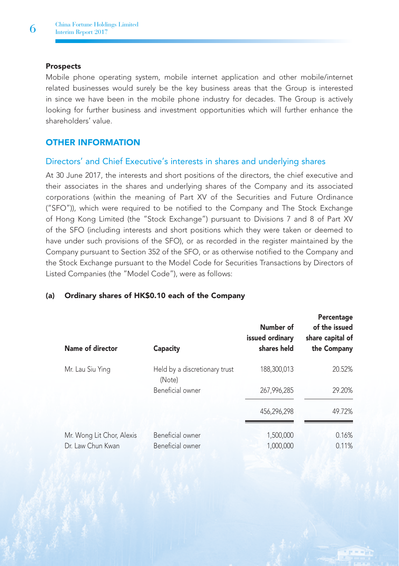## **Prospects**

Mobile phone operating system, mobile internet application and other mobile/internet related businesses would surely be the key business areas that the Group is interested in since we have been in the mobile phone industry for decades. The Group is actively looking for further business and investment opportunities which will further enhance the shareholders' value.

# OTHER INFORMATION

# Directors' and Chief Executive's interests in shares and underlying shares

At 30 June 2017, the interests and short positions of the directors, the chief executive and their associates in the shares and underlying shares of the Company and its associated corporations (within the meaning of Part XV of the Securities and Future Ordinance ("SFO")), which were required to be notified to the Company and The Stock Exchange of Hong Kong Limited (the "Stock Exchange") pursuant to Divisions 7 and 8 of Part XV of the SFO (including interests and short positions which they were taken or deemed to have under such provisions of the SFO), or as recorded in the register maintained by the Company pursuant to Section 352 of the SFO, or as otherwise notified to the Company and the Stock Exchange pursuant to the Model Code for Securities Transactions by Directors of Listed Companies (the "Model Code"), were as follows:

| Name of director                               | Capacity                                | Number of<br>issued ordinary<br>shares held | Percentage<br>of the issued<br>share capital of<br>the Company |
|------------------------------------------------|-----------------------------------------|---------------------------------------------|----------------------------------------------------------------|
| Mr. Lau Siu Ying                               | Held by a discretionary trust<br>(Note) | 188,300,013                                 | 20.52%                                                         |
|                                                | Beneficial owner                        | 267,996,285                                 | 29.20%                                                         |
|                                                |                                         | 456,296,298                                 | 49.72%                                                         |
| Mr. Wong Lit Chor, Alexis<br>Dr. Law Chun Kwan | Beneficial owner<br>Beneficial owner    | 1,500,000<br>1,000,000                      | 0.16%<br>0.11%                                                 |

## (a) Ordinary shares of HK\$0.10 each of the Company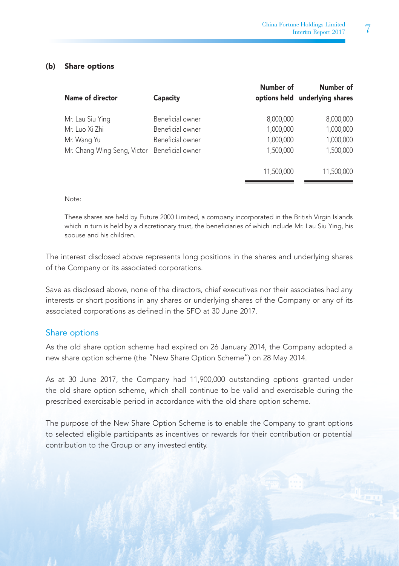## (b) Share options

| Name of director                             | Capacity         | Number of<br>options held | Number of<br>underlying shares |
|----------------------------------------------|------------------|---------------------------|--------------------------------|
| Mr. Lau Siu Ying                             | Beneficial owner | 8,000,000                 | 8,000,000                      |
| Mr. Luo Xi Zhi                               | Beneficial owner | 1,000,000                 | 1,000,000                      |
| Mr. Wang Yu                                  | Beneficial owner | 1,000,000                 | 1,000,000                      |
| Mr. Chang Wing Seng, Victor Beneficial owner |                  | 1,500,000                 | 1,500,000                      |
|                                              |                  | 11.500.000                | 11,500,000                     |

#### Note:

These shares are held by Future 2000 Limited, a company incorporated in the British Virgin Islands which in turn is held by a discretionary trust, the beneficiaries of which include Mr. Lau Siu Ying, his spouse and his children.

The interest disclosed above represents long positions in the shares and underlying shares of the Company or its associated corporations.

Save as disclosed above, none of the directors, chief executives nor their associates had any interests or short positions in any shares or underlying shares of the Company or any of its associated corporations as defined in the SFO at 30 June 2017.

## Share options

As the old share option scheme had expired on 26 January 2014, the Company adopted a new share option scheme (the "New Share Option Scheme") on 28 May 2014.

As at 30 June 2017, the Company had 11,900,000 outstanding options granted under the old share option scheme, which shall continue to be valid and exercisable during the prescribed exercisable period in accordance with the old share option scheme.

The purpose of the New Share Option Scheme is to enable the Company to grant options to selected eligible participants as incentives or rewards for their contribution or potential contribution to the Group or any invested entity.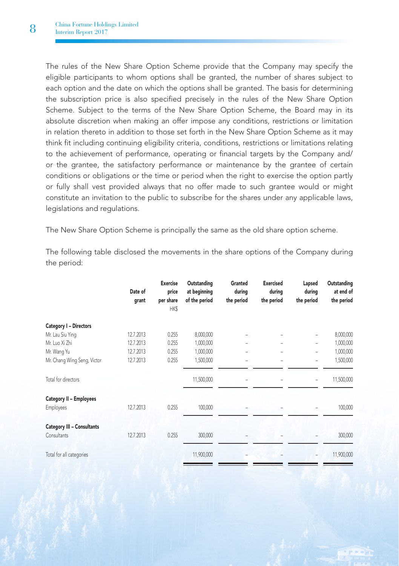The rules of the New Share Option Scheme provide that the Company may specify the eligible participants to whom options shall be granted, the number of shares subject to each option and the date on which the options shall be granted. The basis for determining the subscription price is also specified precisely in the rules of the New Share Option Scheme. Subject to the terms of the New Share Option Scheme, the Board may in its absolute discretion when making an offer impose any conditions, restrictions or limitation in relation thereto in addition to those set forth in the New Share Option Scheme as it may think fit including continuing eligibility criteria, conditions, restrictions or limitations relating to the achievement of performance, operating or financial targets by the Company and/ or the grantee, the satisfactory performance or maintenance by the grantee of certain conditions or obligations or the time or period when the right to exercise the option partly or fully shall vest provided always that no offer made to such grantee would or might constitute an invitation to the public to subscribe for the shares under any applicable laws, legislations and regulations.

The New Share Option Scheme is principally the same as the old share option scheme.

The following table disclosed the movements in the share options of the Company during the period:

|                                   | Date of<br>grant | <b>Exercise</b><br>price<br>per share<br>HK\$ | Outstanding<br>at beginning<br>of the period | Granted<br>during<br>the period | <b>Exercised</b><br>during<br>the period | Lapsed<br>during<br>the period | Outstanding<br>at end of<br>the period |
|-----------------------------------|------------------|-----------------------------------------------|----------------------------------------------|---------------------------------|------------------------------------------|--------------------------------|----------------------------------------|
| Category I - Directors            |                  |                                               |                                              |                                 |                                          |                                |                                        |
| Mr. Lau Siu Ying                  | 12.7.2013        | 0.255                                         | 8,000,000                                    |                                 |                                          | ٠                              | 8,000,000                              |
| Mr. Luo Xi Zhi                    | 12.7.2013        | 0.255                                         | 1,000,000                                    |                                 | -                                        | ٠                              | 1,000,000                              |
| Mr. Wang Yu                       | 12.7.2013        | 0.255                                         | 1,000,000                                    |                                 |                                          | ٠                              | 1,000,000                              |
| Mr. Chang Wing Seng, Victor       | 12.7.2013        | 0.255                                         | 1,500,000                                    |                                 |                                          | ۰                              | 1,500,000                              |
| Total for directors               |                  |                                               | 11,500,000                                   |                                 |                                          |                                | 11,500,000                             |
| <b>Category II - Employees</b>    |                  |                                               |                                              |                                 |                                          |                                |                                        |
| Employees                         | 12.7.2013        | 0.255                                         | 100,000                                      |                                 |                                          |                                | 100,000                                |
| <b>Category III - Consultants</b> |                  |                                               |                                              |                                 |                                          |                                |                                        |
| Consultants                       | 12.7.2013        | 0.255                                         | 300,000                                      |                                 |                                          |                                | 300,000                                |
| Total for all categories          |                  |                                               | 11,900,000                                   |                                 |                                          |                                | 11,900,000                             |
|                                   |                  |                                               |                                              |                                 |                                          |                                |                                        |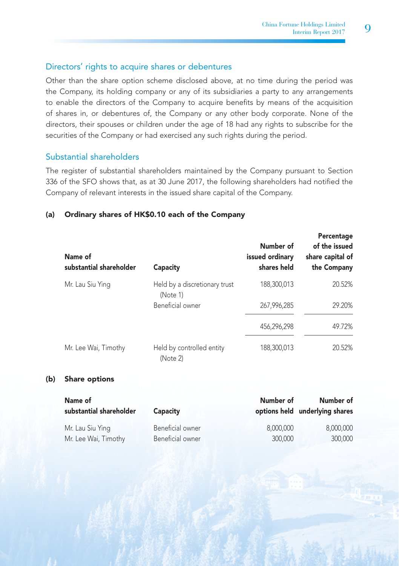# Directors' rights to acquire shares or debentures

Other than the share option scheme disclosed above, at no time during the period was the Company, its holding company or any of its subsidiaries a party to any arrangements to enable the directors of the Company to acquire benefits by means of the acquisition of shares in, or debentures of, the Company or any other body corporate. None of the directors, their spouses or children under the age of 18 had any rights to subscribe for the securities of the Company or had exercised any such rights during the period.

# Substantial shareholders

The register of substantial shareholders maintained by the Company pursuant to Section 336 of the SFO shows that, as at 30 June 2017, the following shareholders had notified the Company of relevant interests in the issued share capital of the Company.

## (a) Ordinary shares of HK\$0.10 each of the Company

| Name of<br>substantial shareholder | Capacity                                  | Number of<br>issued ordinary<br>shares held | Percentage<br>of the issued<br>share capital of<br>the Company |
|------------------------------------|-------------------------------------------|---------------------------------------------|----------------------------------------------------------------|
| Mr. Lau Siu Ying                   | Held by a discretionary trust<br>(Note 1) | 188,300,013                                 | 20.52%                                                         |
|                                    | Beneficial owner                          | 267,996,285                                 | 29.20%                                                         |
|                                    |                                           | 456,296,298                                 | 49.72%                                                         |
| Mr. Lee Wai, Timothy               | Held by controlled entity<br>(Note 2)     | 188,300,013                                 | 20.52%                                                         |

## (b) Share options

| Name of<br>substantial shareholder | Capacity         | Number of | Number of<br>options held underlying shares |
|------------------------------------|------------------|-----------|---------------------------------------------|
| Mr. Lau Siu Ying                   | Beneficial owner | 8.000.000 | 8.000.000                                   |
| Mr. Lee Wai, Timothy               | Beneficial owner | 300,000   | 300,000                                     |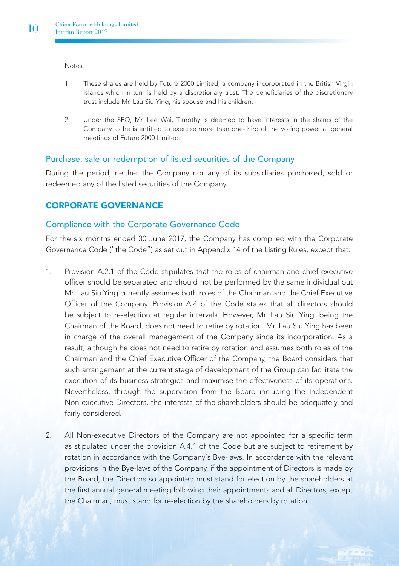Notes:

- 1. These shares are held by Future 2000 Limited, a company incorporated in the British Virgin Islands which in turn is held by a discretionary trust. The beneficiaries of the discretionary trust include Mr. Lau Siu Ying, his spouse and his children.
- 2. Under the SFO, Mr. Lee Wai, Timothy is deemed to have interests in the shares of the Company as he is entitled to exercise more than one-third of the voting power at general meetings of Future 2000 Limited.

# Purchase, sale or redemption of listed securities of the Company

During the period, neither the Company nor any of its subsidiaries purchased, sold or redeemed any of the listed securities of the Company.

# CORPORATE GOVERNANCE

## Compliance with the Corporate Governance Code

For the six months ended 30 June 2017, the Company has complied with the Corporate Governance Code ("the Code") as set out in Appendix 14 of the Listing Rules, except that:

- 1. Provision A.2.1 of the Code stipulates that the roles of chairman and chief executive officer should be separated and should not be performed by the same individual but Mr. Lau Siu Ying currently assumes both roles of the Chairman and the Chief Executive Officer of the Company. Provision A.4 of the Code states that all directors should be subject to re-election at regular intervals. However, Mr. Lau Siu Ying, being the Chairman of the Board, does not need to retire by rotation. Mr. Lau Siu Ying has been in charge of the overall management of the Company since its incorporation. As a result, although he does not need to retire by rotation and assumes both roles of the Chairman and the Chief Executive Officer of the Company, the Board considers that such arrangement at the current stage of development of the Group can facilitate the execution of its business strategies and maximise the effectiveness of its operations. Nevertheless, through the supervision from the Board including the Independent Non-executive Directors, the interests of the shareholders should be adequately and fairly considered.
- 2. All Non-executive Directors of the Company are not appointed for a specific term as stipulated under the provision A.4.1 of the Code but are subject to retirement by rotation in accordance with the Company's Bye-laws. In accordance with the relevant provisions in the Bye-laws of the Company, if the appointment of Directors is made by the Board, the Directors so appointed must stand for election by the shareholders at the first annual general meeting following their appointments and all Directors, except the Chairman, must stand for re-election by the shareholders by rotation.

 $-10$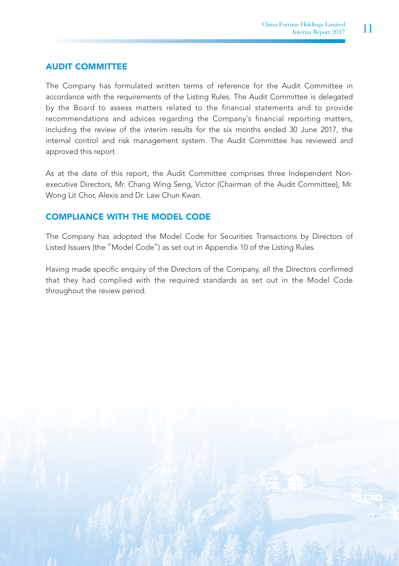# AUDIT COMMITTEE

The Company has formulated written terms of reference for the Audit Committee in accordance with the requirements of the Listing Rules. The Audit Committee is delegated by the Board to assess matters related to the financial statements and to provide recommendations and advices regarding the Company's financial reporting matters, including the review of the interim results for the six months ended 30 June 2017, the internal control and risk management system. The Audit Committee has reviewed and approved this report.

As at the date of this report, the Audit Committee comprises three Independent Nonexecutive Directors, Mr. Chang Wing Seng, Victor (Chairman of the Audit Committee), Mr. Wong Lit Chor, Alexis and Dr. Law Chun Kwan.

# COMPLIANCE WITH THE MODEL CODE

The Company has adopted the Model Code for Securities Transactions by Directors of Listed Issuers (the "Model Code") as set out in Appendix 10 of the Listing Rules.

Having made specific enquiry of the Directors of the Company, all the Directors confirmed that they had complied with the required standards as set out in the Model Code throughout the review period.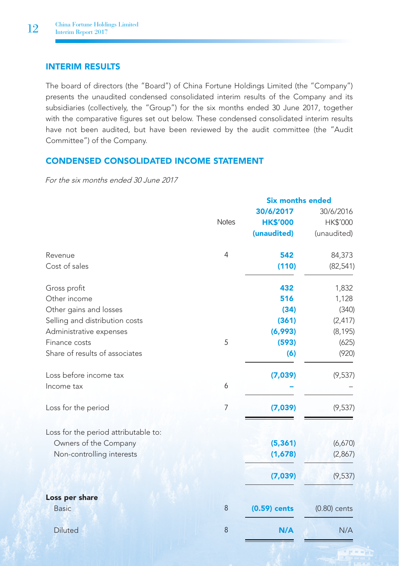# INTERIM RESULTS

The board of directors (the "Board") of China Fortune Holdings Limited (the "Company") presents the unaudited condensed consolidated interim results of the Company and its subsidiaries (collectively, the "Group") for the six months ended 30 June 2017, together with the comparative figures set out below. These condensed consolidated interim results have not been audited, but have been reviewed by the audit committee (the "Audit Committee") of the Company.

# CONDENSED CONSOLIDATED INCOME STATEMENT

For the six months ended 30 June 2017

|                                      | <b>Six months ended</b> |                 |                |  |
|--------------------------------------|-------------------------|-----------------|----------------|--|
|                                      |                         | 30/6/2017       | 30/6/2016      |  |
|                                      | <b>Notes</b>            | <b>HK\$'000</b> | HK\$'000       |  |
|                                      |                         | (unaudited)     | (unaudited)    |  |
| Revenue                              | 4                       | 542             | 84,373         |  |
| Cost of sales                        |                         | (110)           | (82, 541)      |  |
| Gross profit                         |                         | 432             | 1,832          |  |
| Other income                         |                         | 516             | 1,128          |  |
| Other gains and losses               |                         | (34)            | (340)          |  |
| Selling and distribution costs       |                         | (361)           | (2, 417)       |  |
| Administrative expenses              |                         | (6,993)         | (8, 195)       |  |
| Finance costs                        | 5                       | (593)           | (625)          |  |
| Share of results of associates       |                         | (6)             | (920)          |  |
| Loss before income tax               |                         | (7,039)         | (9, 537)       |  |
| Income tax                           | 6                       |                 |                |  |
| Loss for the period                  | 7                       | (7,039)         | (9, 537)       |  |
| Loss for the period attributable to: |                         |                 |                |  |
| Owners of the Company                |                         | (5, 361)        | (6,670)        |  |
| Non-controlling interests            |                         | (1,678)         | (2,867)        |  |
|                                      |                         | (7,039)         | (9, 537)       |  |
| Loss per share                       |                         |                 |                |  |
| <b>Basic</b>                         | 8                       | $(0.59)$ cents  | $(0.80)$ cents |  |
| <b>Diluted</b>                       | 8                       | N/A             | N/A            |  |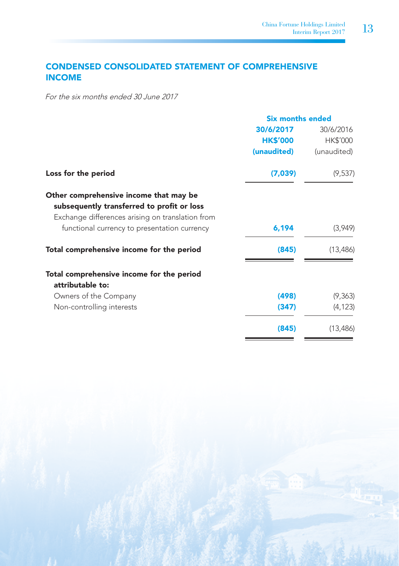# CONDENSED CONSOLIDATED STATEMENT OF COMPREHENSIVE INCOME

For the six months ended 30 June 2017

|                                                                                                                                          | <b>Six months ended</b> |             |  |
|------------------------------------------------------------------------------------------------------------------------------------------|-------------------------|-------------|--|
|                                                                                                                                          | 30/6/2017               | 30/6/2016   |  |
|                                                                                                                                          | <b>HK\$'000</b>         | HK\$'000    |  |
|                                                                                                                                          | (unaudited)             | (unaudited) |  |
| Loss for the period                                                                                                                      | (7,039)                 | (9,537)     |  |
| Other comprehensive income that may be<br>subsequently transferred to profit or loss<br>Exchange differences arising on translation from |                         |             |  |
| functional currency to presentation currency                                                                                             | 6,194                   | (3,949)     |  |
| Total comprehensive income for the period                                                                                                | (845)                   | (13, 486)   |  |
| Total comprehensive income for the period<br>attributable to:                                                                            |                         |             |  |
| Owners of the Company                                                                                                                    | (498)                   | (9,363)     |  |
| Non-controlling interests                                                                                                                | (347)                   | (4, 123)    |  |
|                                                                                                                                          | (845)                   | (13, 486)   |  |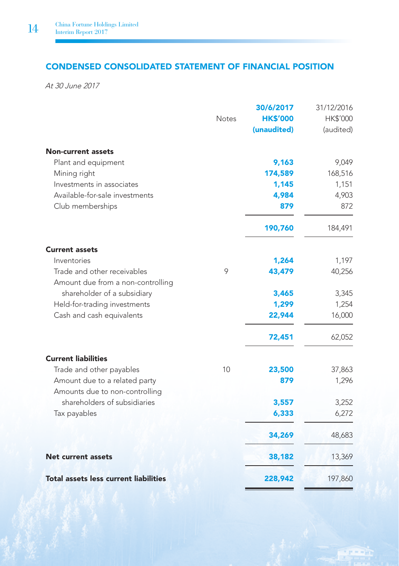# CONDENSED CONSOLIDATED STATEMENT OF FINANCIAL POSITION

At 30 June 2017

|                                              |              | 30/6/2017       | 31/12/2016      |
|----------------------------------------------|--------------|-----------------|-----------------|
|                                              | <b>Notes</b> | <b>HK\$'000</b> | <b>HK\$'000</b> |
|                                              |              | (unaudited)     | (audited)       |
| <b>Non-current assets</b>                    |              |                 |                 |
| Plant and equipment                          |              | 9,163           | 9,049           |
| Mining right                                 |              | 174,589         | 168,516         |
| Investments in associates                    |              | 1,145           | 1,151           |
| Available-for-sale investments               |              | 4,984           | 4,903           |
| Club memberships                             |              | 879             | 872             |
|                                              |              | 190,760         | 184,491         |
| <b>Current assets</b>                        |              |                 |                 |
| Inventories                                  |              | 1,264           | 1,197           |
| Trade and other receivables                  | 9            | 43,479          | 40,256          |
| Amount due from a non-controlling            |              |                 |                 |
| shareholder of a subsidiary                  |              | 3,465           | 3,345           |
| Held-for-trading investments                 |              | 1,299           | 1,254           |
| Cash and cash equivalents                    |              | 22,944          | 16,000          |
|                                              |              | 72,451          | 62,052          |
| <b>Current liabilities</b>                   |              |                 |                 |
| Trade and other payables                     | 10           | 23,500          | 37,863          |
| Amount due to a related party                |              | 879             | 1,296           |
| Amounts due to non-controlling               |              |                 |                 |
| shareholders of subsidiaries                 |              | 3,557           | 3,252           |
| Tax payables                                 |              | 6,333           | 6,272           |
|                                              |              | 34,269          | 48,683          |
| <b>Net current assets</b>                    |              | 38,182          | 13,369          |
| <b>Total assets less current liabilities</b> |              | 228,942         | 197,860         |

 $r = -10$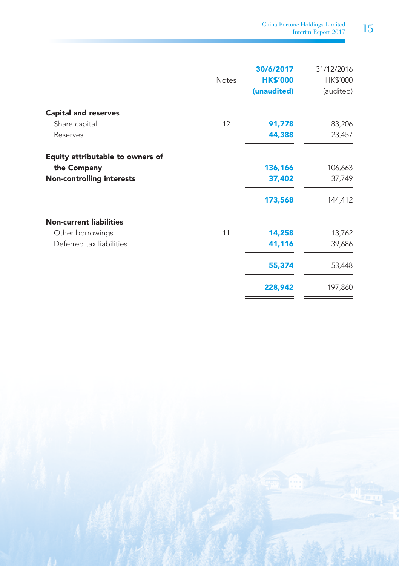China Fortune Holdings Limited<br>Interim Report 2017  $\quad\quad 15$ 

|                                  | <b>Notes</b> | 30/6/2017<br><b>HK\$'000</b><br>(unaudited) | 31/12/2016<br>HK\$'000<br>(audited) |
|----------------------------------|--------------|---------------------------------------------|-------------------------------------|
| <b>Capital and reserves</b>      |              |                                             |                                     |
| Share capital                    | 12           | 91,778                                      | 83,206                              |
| Reserves                         |              | 44,388                                      | 23,457                              |
| Equity attributable to owners of |              |                                             |                                     |
| the Company                      |              | 136,166                                     | 106,663                             |
| <b>Non-controlling interests</b> |              | 37,402                                      | 37,749                              |
|                                  |              | 173,568                                     | 144,412                             |
| <b>Non-current liabilities</b>   |              |                                             |                                     |
| Other borrowings                 | 11           | 14,258                                      | 13,762                              |
| Deferred tax liabilities         |              | 41,116                                      | 39,686                              |
|                                  |              | 55,374                                      | 53,448                              |
|                                  |              | 228,942                                     | 197,860                             |

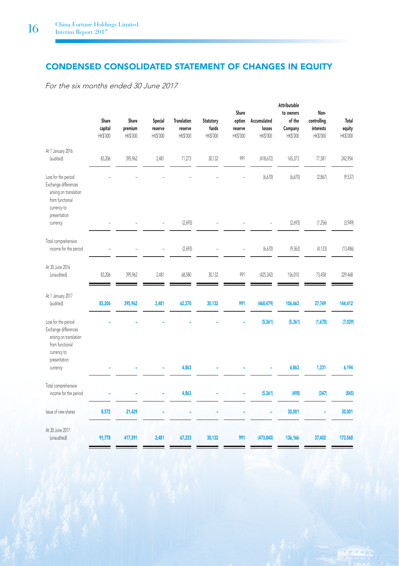# CONDENSED CONSOLIDATED STATEMENT OF CHANGES IN EQUITY

For the six months ended 30 June 2017

|                                                                                                                         | Share<br>capital<br>HK\$'000 | Share<br>premium<br>HK\$'000 | Special<br>reserve<br>HK\$'000 | <b>Translation</b><br>reserve<br>HK\$'000 | <b>Statutory</b><br>funds<br>HK\$'000 | Share<br>option<br>reserve<br>HK\$'000 | Accumulated<br>losses<br>HK\$'000 | <b>Attributable</b><br>to owners<br>of the<br>Company<br>HK\$'000 | Non-<br>controlling<br>interests<br>HK\$'000 | Total<br>equity<br>HK\$'000 |
|-------------------------------------------------------------------------------------------------------------------------|------------------------------|------------------------------|--------------------------------|-------------------------------------------|---------------------------------------|----------------------------------------|-----------------------------------|-------------------------------------------------------------------|----------------------------------------------|-----------------------------|
| At 1 January 2016<br>(audited)                                                                                          | 83,206                       | 395,962                      | 2.481                          | 71,273                                    | 30.132                                | 991                                    | (418,672)                         | 165,373                                                           | 77,581                                       | 242,954                     |
| Loss for the period<br>Exchange differences<br>arising on translation<br>from functional<br>currency to<br>presentation |                              |                              |                                |                                           |                                       |                                        | (6,670)                           | (6,670)                                                           | (2,867)                                      | (9,537)                     |
| currency                                                                                                                |                              |                              | i.                             | (2,693)                                   |                                       |                                        | L,                                | (2,693)                                                           | (1,256)                                      | (3,949)                     |
| Total comprehensive<br>income for the period                                                                            |                              |                              |                                | (2,693)                                   |                                       | L                                      | (6,670)                           | (9, 363)                                                          | (4, 123)                                     | (13,486)                    |
| At 30 June 2016<br>(unaudited)                                                                                          | 83,206                       | 395,962                      | 2,481                          | 68,580                                    | 30,132                                | 991                                    | (425, 342)                        | 156,010                                                           | 73,458                                       | 229,468                     |
| At 1 January 2017<br>(audited)                                                                                          | 83,206                       | 395,962                      | 2,481                          | 62,370                                    | 30,132                                | 991                                    | (468, 479)                        | 106,663                                                           | 37,749                                       | 144,412                     |
| Loss for the period<br>Exchange differences<br>arising on translation<br>from functional<br>currency to<br>presentation |                              |                              |                                |                                           |                                       |                                        | (5, 361)                          | (5, 361)                                                          | (1,678)                                      | (7,039)                     |
| currency                                                                                                                |                              |                              |                                | 4,863                                     |                                       |                                        |                                   | 4,863                                                             | 1,331                                        | 6,194                       |
| Total comprehensive<br>income for the period                                                                            |                              |                              |                                | 4,863                                     |                                       |                                        | (5, 361)                          | (498)                                                             | (347)                                        | (845)                       |
| Issue of new shares                                                                                                     | 8,572                        | 21,429                       |                                |                                           |                                       |                                        |                                   | 30,001                                                            |                                              | 30,001                      |
| At 30 June 2017<br>(unaudited)                                                                                          | 91,778                       | 417,391                      | 2,481                          | 67,233                                    | 30,132                                | 991                                    | (473, 840)                        | 136,166                                                           | 37,402                                       | 173,568                     |

n – Hin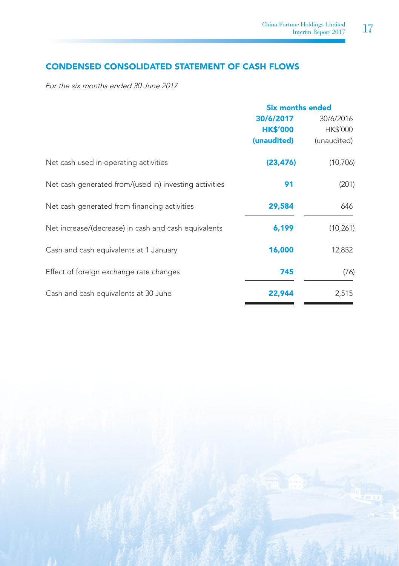# CONDENSED CONSOLIDATED STATEMENT OF CASH FLOWS

For the six months ended 30 June 2017

|                                                        | <b>Six months ended</b> |             |
|--------------------------------------------------------|-------------------------|-------------|
|                                                        | 30/6/2017               | 30/6/2016   |
|                                                        | <b>HK\$'000</b>         | HK\$'000    |
|                                                        | (unaudited)             | (unaudited) |
| Net cash used in operating activities                  | (23, 476)               | (10, 706)   |
| Net cash generated from/(used in) investing activities | 91                      | (201)       |
| Net cash generated from financing activities           | 29,584                  | 646         |
| Net increase/(decrease) in cash and cash equivalents   | 6,199                   | (10, 261)   |
| Cash and cash equivalents at 1 January                 | 16,000                  | 12,852      |
| Effect of foreign exchange rate changes                | 745                     | (76)        |
| Cash and cash equivalents at 30 June                   | 22,944                  | 2,515       |

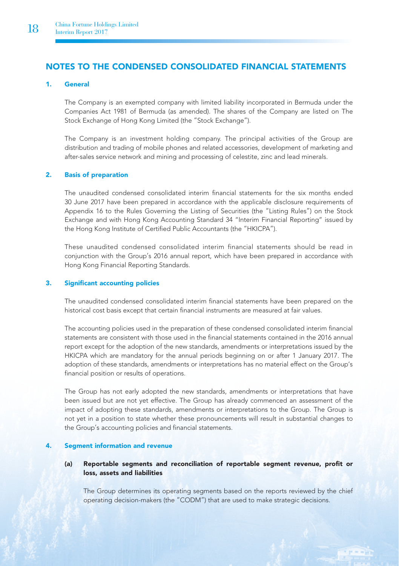# NOTES TO THE CONDENSED CONSOLIDATED FINANCIAL STATEMENTS

#### 1. General

The Company is an exempted company with limited liability incorporated in Bermuda under the Companies Act 1981 of Bermuda (as amended). The shares of the Company are listed on The Stock Exchange of Hong Kong Limited (the "Stock Exchange").

The Company is an investment holding company. The principal activities of the Group are distribution and trading of mobile phones and related accessories, development of marketing and after-sales service network and mining and processing of celestite, zinc and lead minerals.

#### 2. Basis of preparation

The unaudited condensed consolidated interim financial statements for the six months ended 30 June 2017 have been prepared in accordance with the applicable disclosure requirements of Appendix 16 to the Rules Governing the Listing of Securities (the "Listing Rules") on the Stock Exchange and with Hong Kong Accounting Standard 34 "Interim Financial Reporting" issued by the Hong Kong Institute of Certified Public Accountants (the "HKICPA").

These unaudited condensed consolidated interim financial statements should be read in conjunction with the Group's 2016 annual report, which have been prepared in accordance with Hong Kong Financial Reporting Standards.

#### 3. Significant accounting policies

The unaudited condensed consolidated interim financial statements have been prepared on the historical cost basis except that certain financial instruments are measured at fair values.

The accounting policies used in the preparation of these condensed consolidated interim financial statements are consistent with those used in the financial statements contained in the 2016 annual report except for the adoption of the new standards, amendments or interpretations issued by the HKICPA which are mandatory for the annual periods beginning on or after 1 January 2017. The adoption of these standards, amendments or interpretations has no material effect on the Group's financial position or results of operations.

The Group has not early adopted the new standards, amendments or interpretations that have been issued but are not yet effective. The Group has already commenced an assessment of the impact of adopting these standards, amendments or interpretations to the Group. The Group is not yet in a position to state whether these pronouncements will result in substantial changes to the Group's accounting policies and financial statements.

#### 4. Segment information and revenue

#### (a) Reportable segments and reconciliation of reportable segment revenue, profit or loss, assets and liabilities

The Group determines its operating segments based on the reports reviewed by the chief operating decision-makers (the "CODM") that are used to make strategic decisions.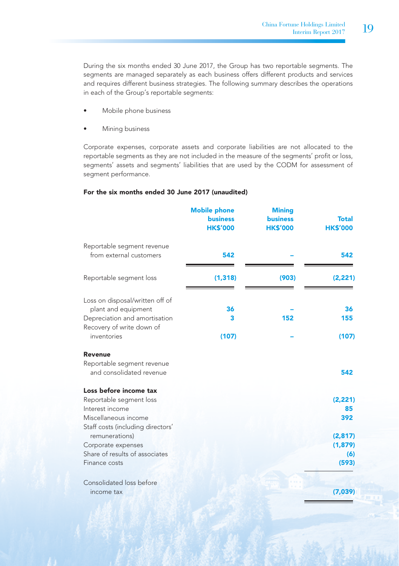During the six months ended 30 June 2017, the Group has two reportable segments. The segments are managed separately as each business offers different products and services and requires different business strategies. The following summary describes the operations in each of the Group's reportable segments:

- Mobile phone business
- Mining business

Corporate expenses, corporate assets and corporate liabilities are not allocated to the reportable segments as they are not included in the measure of the segments' profit or loss, segments' assets and segments' liabilities that are used by the CODM for assessment of segment performance.

#### For the six months ended 30 June 2017 (unaudited)

|                                                                                                                                                                                                                              | <b>Mobile phone</b><br><b>business</b><br><b>HK\$'000</b> | <b>Mining</b><br><b>business</b><br><b>HK\$'000</b> | <b>Total</b><br><b>HK\$'000</b>                               |
|------------------------------------------------------------------------------------------------------------------------------------------------------------------------------------------------------------------------------|-----------------------------------------------------------|-----------------------------------------------------|---------------------------------------------------------------|
| Reportable segment revenue<br>from external customers                                                                                                                                                                        | 542                                                       |                                                     | 542                                                           |
| Reportable segment loss                                                                                                                                                                                                      | (1, 318)                                                  | (903)                                               | (2, 221)                                                      |
| Loss on disposal/written off of<br>plant and equipment<br>Depreciation and amortisation<br>Recovery of write down of<br>inventories                                                                                          | 36<br>3<br>(107)                                          | 152                                                 | 36<br>155<br>(107)                                            |
| Revenue<br>Reportable segment revenue<br>and consolidated revenue                                                                                                                                                            |                                                           |                                                     | 542                                                           |
| Loss before income tax<br>Reportable segment loss<br>Interest income<br>Miscellaneous income<br>Staff costs (including directors'<br>remunerations)<br>Corporate expenses<br>Share of results of associates<br>Finance costs |                                                           |                                                     | (2, 221)<br>85<br>392<br>(2, 817)<br>(1, 879)<br>(6)<br>(593) |
| Consolidated loss before<br>income tax                                                                                                                                                                                       |                                                           |                                                     | (7,039)                                                       |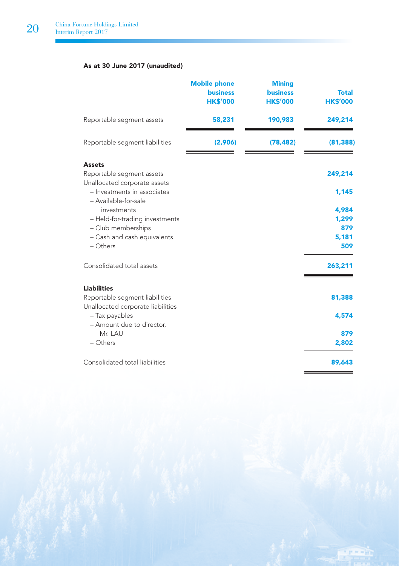## As at 30 June 2017 (unaudited)

|                                                                     | <b>Mobile phone</b><br><b>business</b><br><b>HK\$'000</b> | <b>Mining</b><br><b>business</b><br><b>HK\$'000</b> | <b>Total</b><br><b>HK\$'000</b> |
|---------------------------------------------------------------------|-----------------------------------------------------------|-----------------------------------------------------|---------------------------------|
| Reportable segment assets                                           | 58,231                                                    | 190,983                                             | 249,214                         |
| Reportable segment liabilities                                      | (2,906)                                                   | (78, 482)                                           | (81, 388)                       |
| <b>Assets</b>                                                       |                                                           |                                                     |                                 |
| Reportable segment assets<br>Unallocated corporate assets           |                                                           |                                                     | 249,214                         |
| - Investments in associates<br>- Available-for-sale                 |                                                           |                                                     | 1,145                           |
| investments                                                         |                                                           |                                                     | 4,984                           |
| - Held-for-trading investments                                      |                                                           |                                                     | 1,299                           |
| - Club memberships                                                  |                                                           |                                                     | 879                             |
| - Cash and cash equivalents                                         |                                                           |                                                     | 5,181                           |
| $-$ Others                                                          |                                                           |                                                     | 509                             |
| Consolidated total assets                                           |                                                           |                                                     | 263,211                         |
| <b>Liabilities</b>                                                  |                                                           |                                                     |                                 |
| Reportable segment liabilities<br>Unallocated corporate liabilities |                                                           |                                                     | 81,388                          |
| - Tax payables<br>- Amount due to director,                         |                                                           |                                                     | 4,574                           |
| Mr. LAU                                                             |                                                           |                                                     | 879                             |
| $-$ Others                                                          |                                                           |                                                     | 2,802                           |
| Consolidated total liabilities                                      |                                                           |                                                     | 89,643                          |

**Freelo**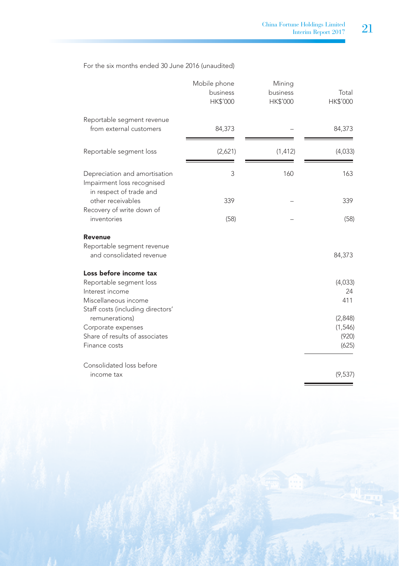For the six months ended 30 June 2016 (unaudited)

|                                                                                                                                   | Mobile phone<br>business<br>HK\$'000 | Mining<br>business<br>HK\$'000 | Total<br>HK\$'000                    |
|-----------------------------------------------------------------------------------------------------------------------------------|--------------------------------------|--------------------------------|--------------------------------------|
| Reportable segment revenue<br>from external customers                                                                             | 84,373                               |                                | 84,373                               |
| Reportable segment loss                                                                                                           | (2,621)                              | (1, 412)                       | (4,033)                              |
| Depreciation and amortisation<br>Impairment loss recognised<br>in respect of trade and                                            | 3                                    | 160                            | 163                                  |
| other receivables                                                                                                                 | 339                                  |                                | 339                                  |
| Recovery of write down of<br>inventories                                                                                          | (58)                                 |                                | (58)                                 |
| Revenue                                                                                                                           |                                      |                                |                                      |
| Reportable segment revenue<br>and consolidated revenue                                                                            |                                      |                                | 84,373                               |
| Loss before income tax<br>Reportable segment loss<br>Interest income<br>Miscellaneous income<br>Staff costs (including directors' |                                      |                                | (4,033)<br>24<br>411                 |
| remunerations)<br>Corporate expenses<br>Share of results of associates<br>Finance costs                                           |                                      |                                | (2,848)<br>(1,546)<br>(920)<br>(625) |
| Consolidated loss before<br>income tax                                                                                            |                                      |                                | (9,537)                              |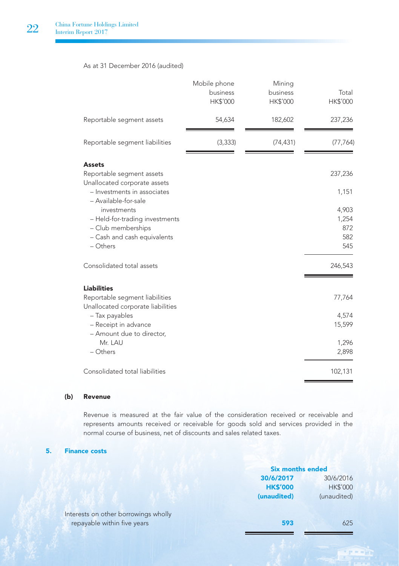### As at 31 December 2016 (audited)

|                                                                                                                                           | Mobile phone<br>business<br>HK\$'000 | Mining<br>business<br>HK\$'000 | Total<br>HK\$'000          |
|-------------------------------------------------------------------------------------------------------------------------------------------|--------------------------------------|--------------------------------|----------------------------|
| Reportable segment assets                                                                                                                 | 54,634                               | 182,602                        | 237,236                    |
| Reportable segment liabilities                                                                                                            | (3, 333)                             | (74, 431)                      | (77, 764)                  |
| Assets<br>Reportable segment assets<br>Unallocated corporate assets<br>- Investments in associates<br>- Available-for-sale<br>investments |                                      |                                | 237,236<br>1,151<br>4,903  |
| - Held-for-trading investments<br>- Club memberships<br>- Cash and cash equivalents<br>- Others                                           |                                      |                                | 1,254<br>872<br>582<br>545 |
| Consolidated total assets                                                                                                                 |                                      |                                | 246,543                    |
| <b>Liabilities</b><br>Reportable segment liabilities<br>Unallocated corporate liabilities                                                 |                                      |                                | 77,764                     |
| - Tax payables<br>- Receipt in advance<br>- Amount due to director,                                                                       |                                      |                                | 4,574<br>15,599            |
| Mr. LAU<br>- Others                                                                                                                       |                                      |                                | 1,296<br>2,898             |
| Consolidated total liabilities                                                                                                            |                                      |                                | 102,131                    |

### (b) Revenue

Revenue is measured at the fair value of the consideration received or receivable and represents amounts received or receivable for goods sold and services provided in the normal course of business, net of discounts and sales related taxes.

### 5. Finance costs

|                                      | <b>Six months ended</b> |                 |
|--------------------------------------|-------------------------|-----------------|
|                                      | 30/6/2017<br>30/6/2016  |                 |
|                                      | <b>HK\$'000</b>         | <b>HK\$'000</b> |
|                                      | (unaudited)             | (unaudited)     |
| Interests on other borrowings wholly |                         |                 |
| repayable within five years          | 593                     | 625             |
|                                      |                         |                 |

Fine with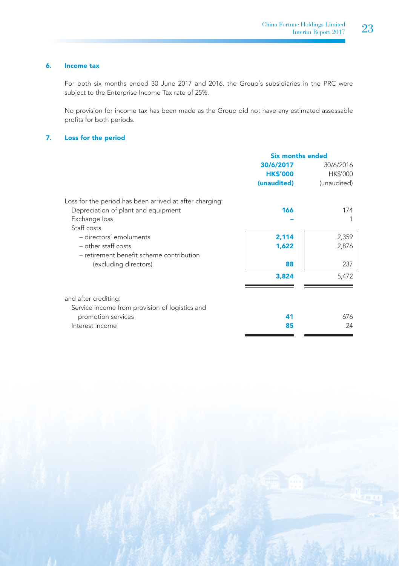## 6. Income tax

For both six months ended 30 June 2017 and 2016, the Group's subsidiaries in the PRC were subject to the Enterprise Income Tax rate of 25%.

No provision for income tax has been made as the Group did not have any estimated assessable profits for both periods.

#### 7. Loss for the period

|                                                         | <b>Six months ended</b> |             |
|---------------------------------------------------------|-------------------------|-------------|
|                                                         | 30/6/2017               | 30/6/2016   |
|                                                         | <b>HK\$'000</b>         | HK\$'000    |
|                                                         | (unaudited)             | (unaudited) |
| Loss for the period has been arrived at after charging: |                         |             |
| Depreciation of plant and equipment                     | 166                     | 174         |
| Exchange loss                                           |                         |             |
| Staff costs                                             |                         |             |
| - directors' emoluments                                 | 2,114                   | 2,359       |
| $-$ other staff costs                                   | 1,622                   | 2,876       |
| - retirement benefit scheme contribution                |                         |             |
| (excluding directors)                                   | 88                      | 237         |
|                                                         | 3,824                   | 5,472       |
| and after crediting:                                    |                         |             |
| Service income from provision of logistics and          |                         |             |
| promotion services                                      | 41                      | 676         |
| Interest income                                         | 85                      | 24          |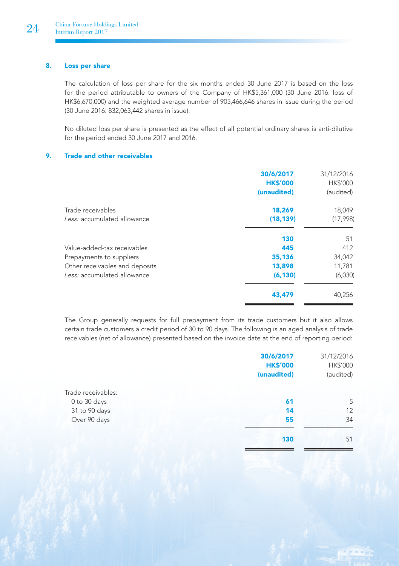## 8. Loss per share

The calculation of loss per share for the six months ended 30 June 2017 is based on the loss for the period attributable to owners of the Company of HK\$5,361,000 (30 June 2016: loss of HK\$6,670,000) and the weighted average number of 905,466,646 shares in issue during the period (30 June 2016: 832,063,442 shares in issue).

No diluted loss per share is presented as the effect of all potential ordinary shares is anti-dilutive for the period ended 30 June 2017 and 2016.

### 9. Trade and other receivables

|                                | 30/6/2017<br><b>HK\$'000</b><br>(unaudited) | 31/12/2016<br><b>HK\$'000</b><br>(audited) |
|--------------------------------|---------------------------------------------|--------------------------------------------|
| Trade receivables              | 18.269                                      | 18,049                                     |
| Less: accumulated allowance    | (18, 139)                                   | (17,998)                                   |
|                                | 130                                         | 51                                         |
| Value-added-tax receivables    | 445                                         | 412                                        |
| Prepayments to suppliers       | 35.136                                      | 34,042                                     |
| Other receivables and deposits | 13,898                                      | 11,781                                     |
| Less: accumulated allowance    | (6, 130)                                    | (6,030)                                    |
|                                | 43.479                                      | 40,256                                     |

The Group generally requests for full prepayment from its trade customers but it also allows certain trade customers a credit period of 30 to 90 days. The following is an aged analysis of trade receivables (net of allowance) presented based on the invoice date at the end of reporting period:

|                    | 30/6/2017       | 31/12/2016 |
|--------------------|-----------------|------------|
|                    | <b>HK\$'000</b> | HK\$'000   |
|                    | (unaudited)     | (audited)  |
| Trade receivables: |                 |            |
| 0 to 30 days       | 61              | 5          |
| 31 to 90 days      | 14              | 12         |
| Over 90 days       | 55              | 34         |
|                    | 130             | 51         |
|                    |                 |            |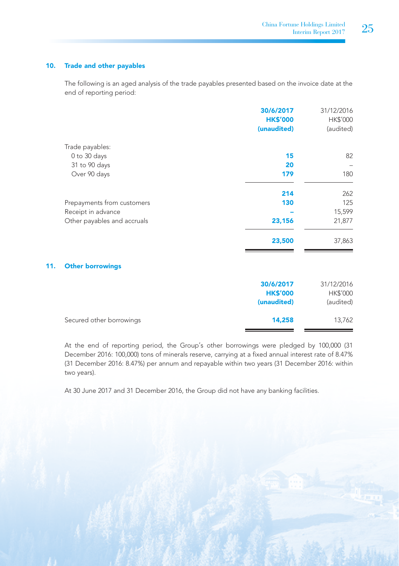### 10. Trade and other payables

The following is an aged analysis of the trade payables presented based on the invoice date at the end of reporting period:

|     |                             | 30/6/2017<br><b>HK\$'000</b>                | 31/12/2016<br>HK\$'000              |
|-----|-----------------------------|---------------------------------------------|-------------------------------------|
|     |                             | (unaudited)                                 | (audited)                           |
|     | Trade payables:             |                                             |                                     |
|     | 0 to 30 days                | 15                                          | 82                                  |
|     | 31 to 90 days               | 20                                          |                                     |
|     | Over 90 days                | 179                                         | 180                                 |
|     |                             | 214                                         | 262                                 |
|     | Prepayments from customers  | 130                                         | 125                                 |
|     | Receipt in advance          |                                             | 15,599                              |
|     | Other payables and accruals | 23,156                                      | 21,877                              |
|     |                             | 23,500                                      | 37,863                              |
| 11. | <b>Other borrowings</b>     |                                             |                                     |
|     |                             | 30/6/2017<br><b>HK\$'000</b><br>(unaudited) | 31/12/2016<br>HK\$'000<br>(audited) |

Secured other borrowings 14,258 13,762

At the end of reporting period, the Group's other borrowings were pledged by 100,000 (31 December 2016: 100,000) tons of minerals reserve, carrying at a fixed annual interest rate of 8.47% (31 December 2016: 8.47%) per annum and repayable within two years (31 December 2016: within two years).

At 30 June 2017 and 31 December 2016, the Group did not have any banking facilities.